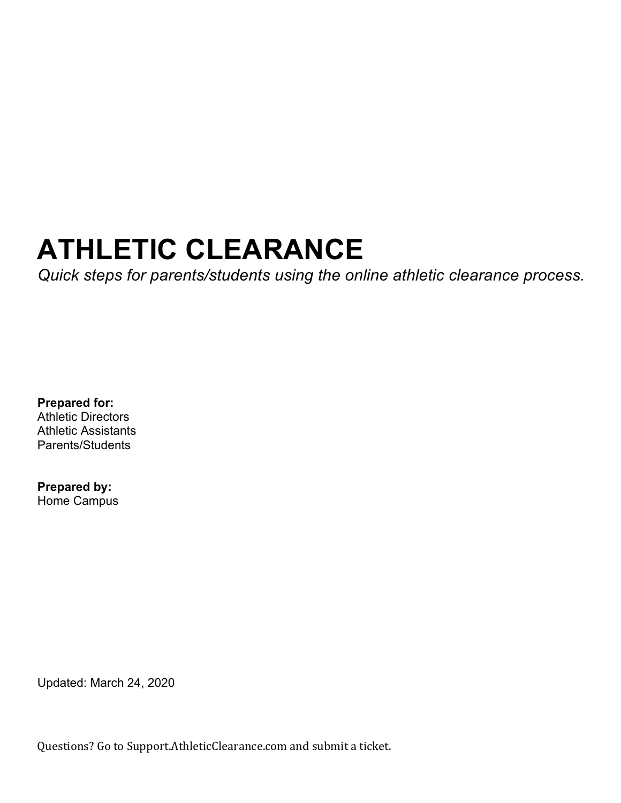# **ATHLETIC CLEARANCE**

*Quick steps for parents/students using the online athletic clearance process.* 

**Prepared for:**  Athletic Directors Athletic Assistants Parents/Students

**Prepared by:**  Home Campus

Updated: March 24, 2020

Questions? Go to Support.AthleticClearance.com and submit a ticket.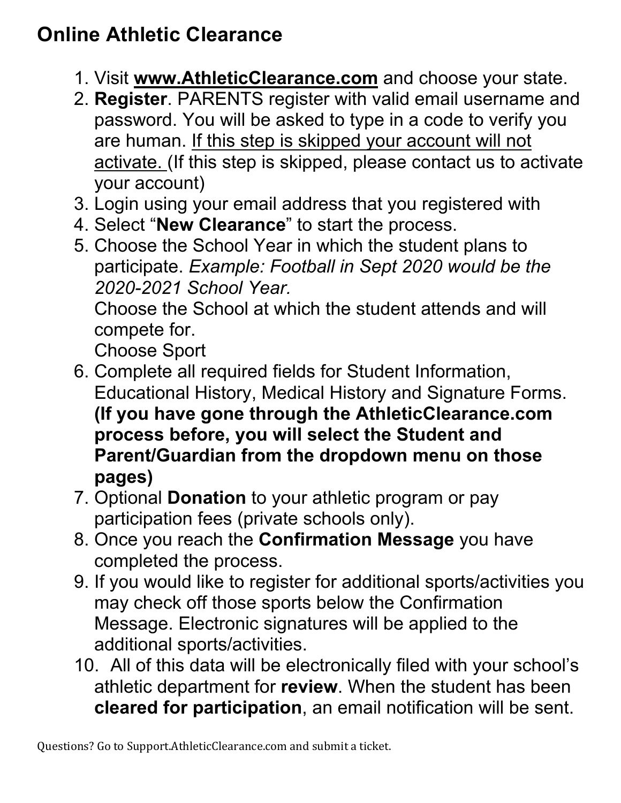## **Online Athletic Clearance**

- 1. Visit **www.AthleticClearance.com** and choose your state.
- 2. **Register**. PARENTS register with valid email username and password. You will be asked to type in a code to verify you are human. If this step is skipped your account will not activate. (If this step is skipped, please contact us to activate your account)
- 3. Login using your email address that you registered with
- 4. Select "**New Clearance**" to start the process.
- 5. Choose the School Year in which the student plans to participate. *Example: Football in Sept 2020 would be the 2020-2021 School Year.*

Choose the School at which the student attends and will compete for.

Choose Sport

- 6. Complete all required fields for Student Information, Educational History, Medical History and Signature Forms. **(If you have gone through the AthleticClearance.com process before, you will select the Student and Parent/Guardian from the dropdown menu on those pages)**
- 7. Optional **Donation** to your athletic program or pay participation fees (private schools only).
- 8. Once you reach the **Confirmation Message** you have completed the process.
- 9. If you would like to register for additional sports/activities you may check off those sports below the Confirmation Message. Electronic signatures will be applied to the additional sports/activities.
- 10. All of this data will be electronically filed with your school's athletic department for **review**. When the student has been **cleared for participation**, an email notification will be sent.